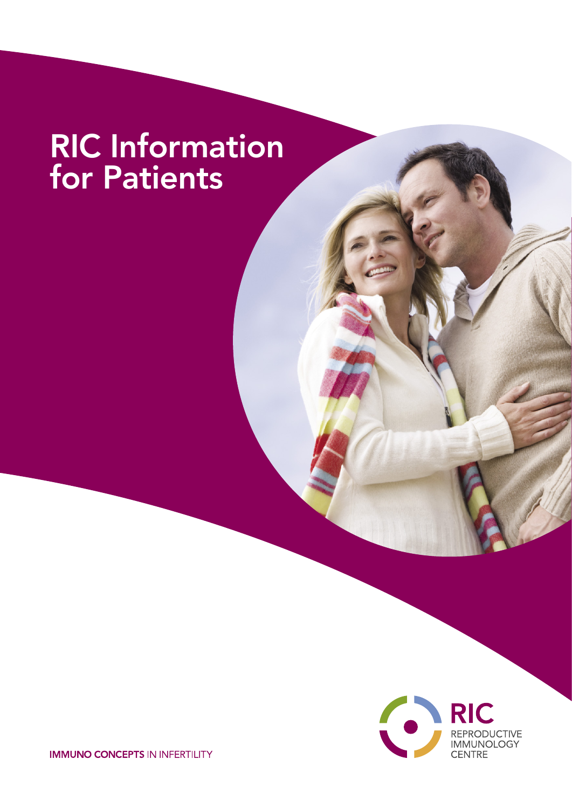# RIC Information for Patients



**IMMUNO CONCEPTS IN INFERTILITY**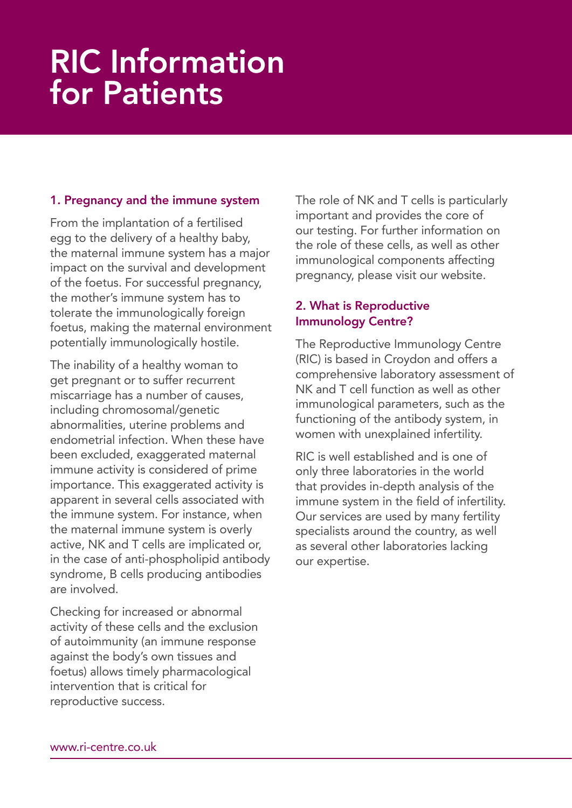# RIC Information for Patients

### 1. Pregnancy and the immune system

From the implantation of a fertilised egg to the delivery of a healthy baby, the maternal immune system has a major impact on the survival and development of the foetus. For successful pregnancy, the mother's immune system has to tolerate the immunologically foreign foetus, making the maternal environment potentially immunologically hostile.

The inability of a healthy woman to get pregnant or to suffer recurrent miscarriage has a number of causes, including chromosomal/genetic abnormalities, uterine problems and endometrial infection. When these have been excluded, exaggerated maternal immune activity is considered of prime importance. This exaggerated activity is apparent in several cells associated with the immune system. For instance, when the maternal immune system is overly active, NK and T cells are implicated or, in the case of anti-phospholipid antibody syndrome, B cells producing antibodies are involved.

Checking for increased or abnormal activity of these cells and the exclusion of autoimmunity (an immune response against the body's own tissues and foetus) allows timely pharmacological intervention that is critical for reproductive success.

The role of NK and T cells is particularly important and provides the core of our testing. For further information on the role of these cells, as well as other immunological components affecting pregnancy, please visit our website.

# 2. What is Reproductive Immunology Centre?

The Reproductive Immunology Centre (RIC) is based in Croydon and offers a comprehensive laboratory assessment of NK and T cell function as well as other immunological parameters, such as the functioning of the antibody system, in women with unexplained infertility.

RIC is well established and is one of only three laboratories in the world that provides in-depth analysis of the immune system in the field of infertility. Our services are used by many fertility specialists around the country, as well as several other laboratories lacking our expertise.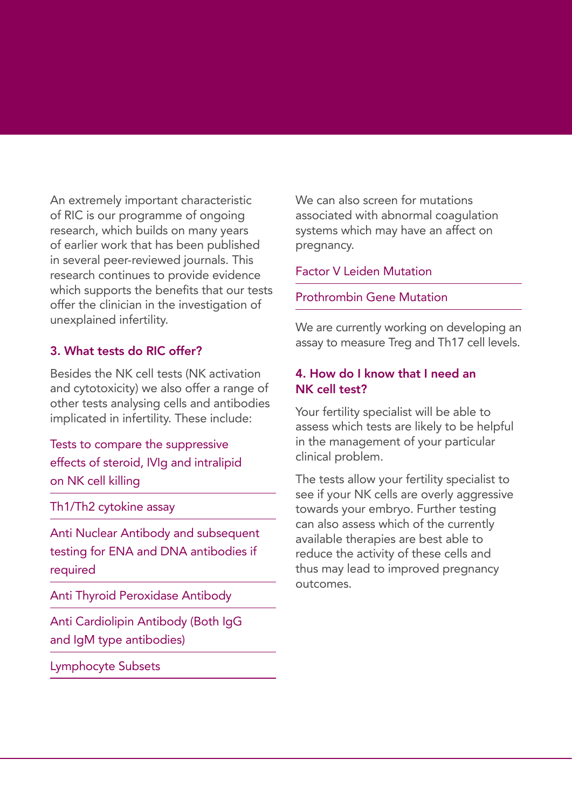An extremely important characteristic of RIC is our programme of ongoing research, which builds on many years of earlier work that has been published in several peer-reviewed journals. This research continues to provide evidence which supports the benefits that our tests offer the clinician in the investigation of unexplained infertility.

# 3. What tests do RIC offer?

Besides the NK cell tests (NK activation and cytotoxicity) we also offer a range of other tests analysing cells and antibodies implicated in infertility. These include:

Tests to compare the suppressive effects of steroid, IVIg and intralipid on NK cell killing

Th1/Th2 cytokine assay

Anti Nuclear Antibody and subsequent testing for ENA and DNA antibodies if required

Anti Thyroid Peroxidase Antibody

Anti Cardiolipin Antibody (Both IgG and IgM type antibodies)

Lymphocyte Subsets

We can also screen for mutations associated with abnormal coagulation systems which may have an affect on pregnancy.

#### Factor V Leiden Mutation

Prothrombin Gene Mutation

We are currently working on developing an assay to measure Treg and Th17 cell levels.

## 4. How do I know that I need an NK cell test?

Your fertility specialist will be able to assess which tests are likely to be helpful in the management of your particular clinical problem.

The tests allow your fertility specialist to see if your NK cells are overly aggressive towards your embryo. Further testing can also assess which of the currently available therapies are best able to reduce the activity of these cells and thus may lead to improved pregnancy outcomes.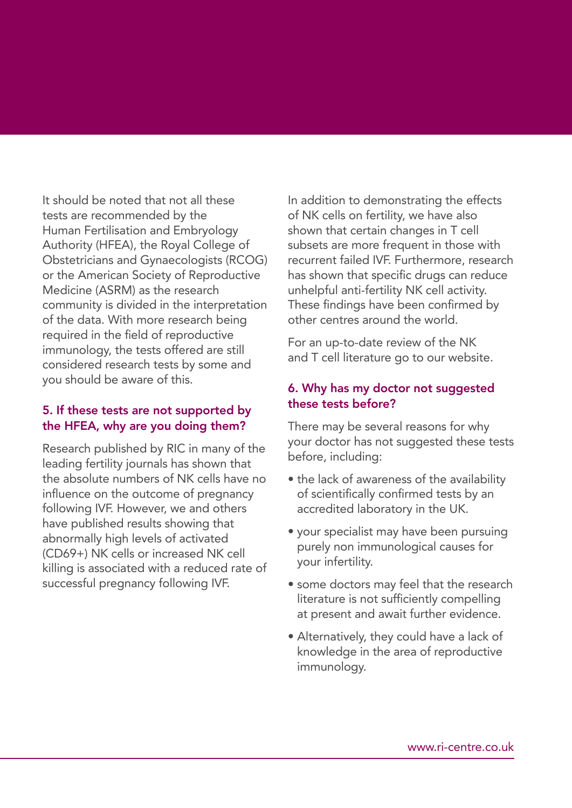It should be noted that not all these tests are recommended by the Human Fertilisation and Embryology Authority (HFEA), the Royal College of Obstetricians and Gynaecologists (RCOG) or the American Society of Reproductive Medicine (ASRM) as the research community is divided in the interpretation of the data. With more research being required in the field of reproductive immunology, the tests offered are still considered research tests by some and you should be aware of this.

#### 5. If these tests are not supported by the HFEA, why are you doing them?

Research published by RIC in many of the leading fertility journals has shown that the absolute numbers of NK cells have no influence on the outcome of pregnancy following IVF. However, we and others have published results showing that abnormally high levels of activated (CD69+) NK cells or increased NK cell killing is associated with a reduced rate of successful pregnancy following IVF.

In addition to demonstrating the effects of NK cells on fertility, we have also shown that certain changes in T cell subsets are more frequent in those with recurrent failed IVF. Furthermore, research has shown that specific drugs can reduce unhelpful anti-fertility NK cell activity. These findings have been confirmed by other centres around the world.

For an up-to-date review of the NK and T cell literature go to our website.

### 6. Why has my doctor not suggested these tests before?

There may be several reasons for why your doctor has not suggested these tests before, including:

- the lack of awareness of the availability of scientifically confirmed tests by an accredited laboratory in the UK.
- your specialist may have been pursuing purely non immunological causes for your infertility.
- some doctors may feel that the research literature is not sufficiently compelling at present and await further evidence.
- Alternatively, they could have a lack of knowledge in the area of reproductive immunology.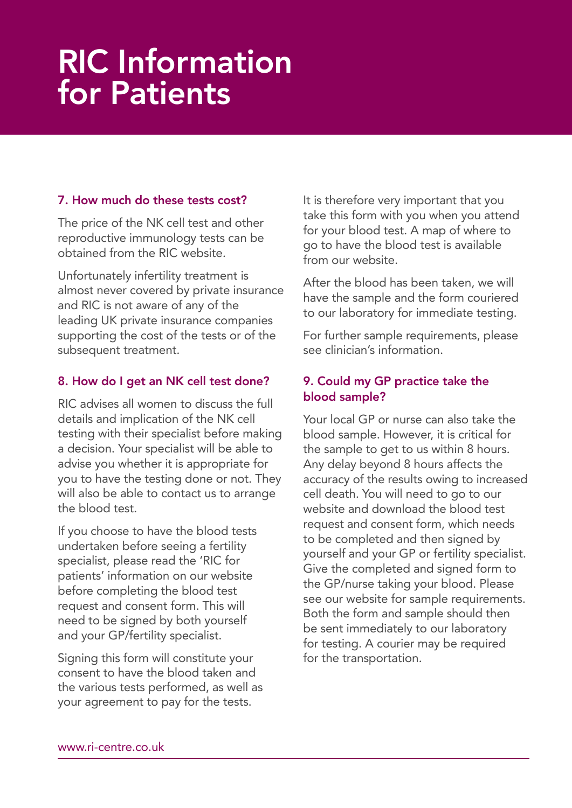# RIC Information for Patients

# 7. How much do these tests cost?

The price of the NK cell test and other reproductive immunology tests can be obtained from the RIC website.

Unfortunately infertility treatment is almost never covered by private insurance and RIC is not aware of any of the leading UK private insurance companies supporting the cost of the tests or of the subsequent treatment.

### 8. How do I get an NK cell test done?

RIC advises all women to discuss the full details and implication of the NK cell testing with their specialist before making a decision. Your specialist will be able to advise you whether it is appropriate for you to have the testing done or not. They will also be able to contact us to arrange the blood test.

If you choose to have the blood tests undertaken before seeing a fertility specialist, please read the 'RIC for patients' information on our website before completing the blood test request and consent form. This will need to be signed by both yourself and your GP/fertility specialist.

Signing this form will constitute your consent to have the blood taken and the various tests performed, as well as your agreement to pay for the tests.

It is therefore very important that you take this form with you when you attend for your blood test. A map of where to go to have the blood test is available from our website.

After the blood has been taken, we will have the sample and the form couriered to our laboratory for immediate testing.

For further sample requirements, please see clinician's information.

## 9. Could my GP practice take the blood sample?

Your local GP or nurse can also take the blood sample. However, it is critical for the sample to get to us within 8 hours. Any delay beyond 8 hours affects the accuracy of the results owing to increased cell death. You will need to go to our website and download the blood test request and consent form, which needs to be completed and then signed by yourself and your GP or fertility specialist. Give the completed and signed form to the GP/nurse taking your blood. Please see our website for sample requirements. Both the form and sample should then be sent immediately to our laboratory for testing. A courier may be required for the transportation.